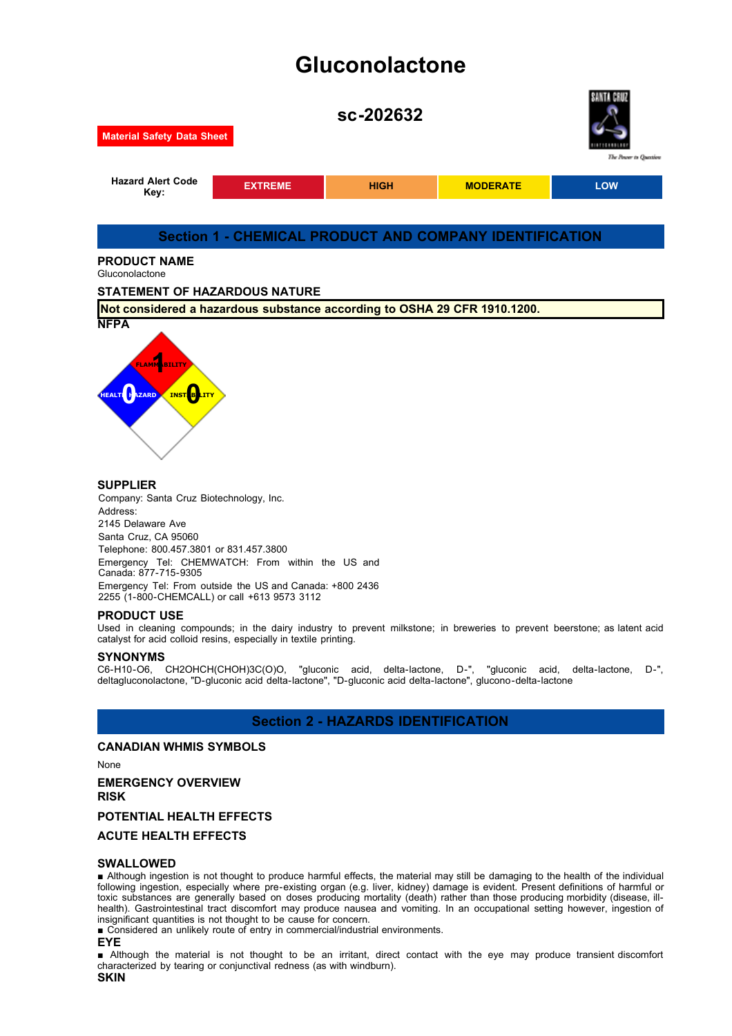# **Gluconolactone**





### **SUPPLIER**

Company: Santa Cruz Biotechnology, Inc. Address: 2145 Delaware Ave Santa Cruz, CA 95060 Telephone: 800.457.3801 or 831.457.3800 Emergency Tel: CHEMWATCH: From within the US and Canada: 877-715-9305 Emergency Tel: From outside the US and Canada: +800 2436 2255 (1-800-CHEMCALL) or call +613 9573 3112

#### **PRODUCT USE**

Used in cleaning compounds; in the dairy industry to prevent milkstone; in breweries to prevent beerstone; as latent acid catalyst for acid colloid resins, especially in textile printing.

**SYNONYMS**<br>C6-H10-O6, CH2OHCH(CHOH)3C(O)O, "gluconic acid, delta-lactone, D-", "gluconic acid, delta-lactone, D-", deltagluconolactone, "D-gluconic acid delta-lactone", "D-gluconic acid delta-lactone", glucono-delta-lactone

### **Section 2 - HAZARDS IDENTIFICATION**

#### **CANADIAN WHMIS SYMBOLS**

None

**EMERGENCY OVERVIEW**

**RISK**

#### **POTENTIAL HEALTH EFFECTS**

#### **ACUTE HEALTH EFFECTS**

#### **SWALLOWED**

■ Although ingestion is not thought to produce harmful effects, the material may still be damaging to the health of the individual following ingestion, especially where pre-existing organ (e.g. liver, kidney) damage is evident. Present definitions of harmful or toxic substances are generally based on doses producing mortality (death) rather than those producing morbidity (disease, illhealth). Gastrointestinal tract discomfort may produce nausea and vomiting. In an occupational setting however, ingestion of insignificant quantities is not thought to be cause for concern.

■ Considered an unlikely route of entry in commercial/industrial environments.

**EYE**

■ Although the material is not thought to be an irritant, direct contact with the eye may produce transient discomfort characterized by tearing or conjunctival redness (as with windburn).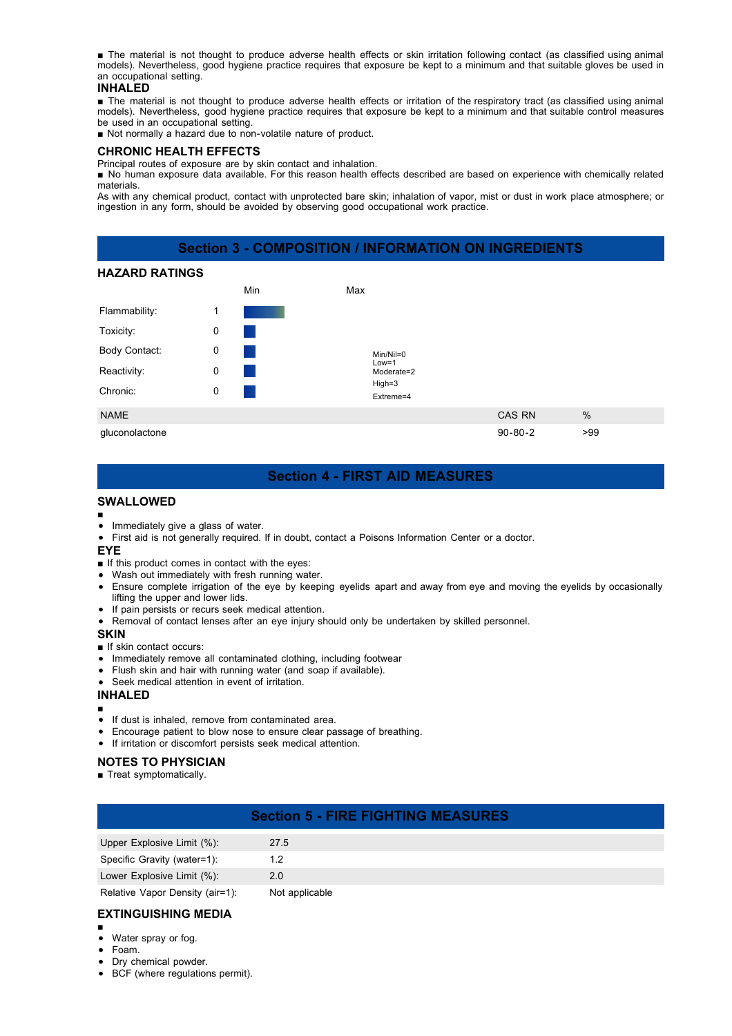■ The material is not thought to produce adverse health effects or skin irritation following contact (as classified using animal models). Nevertheless, good hygiene practice requires that exposure be kept to a minimum and that suitable gloves be used in an occupational setting.

#### **INHALED**

■ The material is not thought to produce adverse health effects or irritation of the respiratory tract (as classified using animal models). Nevertheless, good hygiene practice requires that exposure be kept to a minimum and that suitable control measures be used in an occupational setting.

■ Not normally a hazard due to non-volatile nature of product.

#### **CHRONIC HEALTH EFFECTS**

Principal routes of exposure are by skin contact and inhalation.

■ No human exposure data available. For this reason health effects described are based on experience with chemically related materials.

As with any chemical product, contact with unprotected bare skin; inhalation of vapor, mist or dust in work place atmosphere; or ingestion in any form, should be avoided by observing good occupational work practice.

### **Section 3 - COMPOSITION / INFORMATION ON INGREDIENTS**

#### **HAZARD RATINGS**



### **Section 4 - FIRST AID MEASURES**

#### **SWALLOWED**

- ■
- Immediately give a glass of water.
- First aid is not generally required. If in doubt, contact a Poisons Information Center or a doctor.  $\bullet$

#### **EYE**

- If this product comes in contact with the eyes:
- Wash out immediately with fresh running water.
- Ensure complete irrigation of the eye by keeping eyelids apart and away from eye and moving the eyelids by occasionally lifting the upper and lower lids.
- If pain persists or recurs seek medical attention.
- Removal of contact lenses after an eye injury should only be undertaken by skilled personnel.

#### **SKIN**

- If skin contact occurs:
- Immediately remove all contaminated clothing, including footwear
- Flush skin and hair with running water (and soap if available).
- Seek medical attention in event of irritation.

#### **INHALED**

- ■
- If dust is inhaled, remove from contaminated area.
- Encourage patient to blow nose to ensure clear passage of breathing.  $\bullet$
- If irritation or discomfort persists seek medical attention.

#### **NOTES TO PHYSICIAN**

■ Treat symptomatically.

### **Section 5 - FIRE FIGHTING MEASURES**

| Upper Explosive Limit (%):      | 27.5           |
|---------------------------------|----------------|
| Specific Gravity (water=1):     |                |
| Lower Explosive Limit (%):      | 2.0            |
| Relative Vanor Density (air=1): | Not annlicable |

Relative Vapor Density (air=1): Not applicable

### **EXTINGUISHING MEDIA**

- $\bullet$ 
	- Water spray or fog.
- Foam.
- Dry chemical powder.
- BCF (where regulations permit).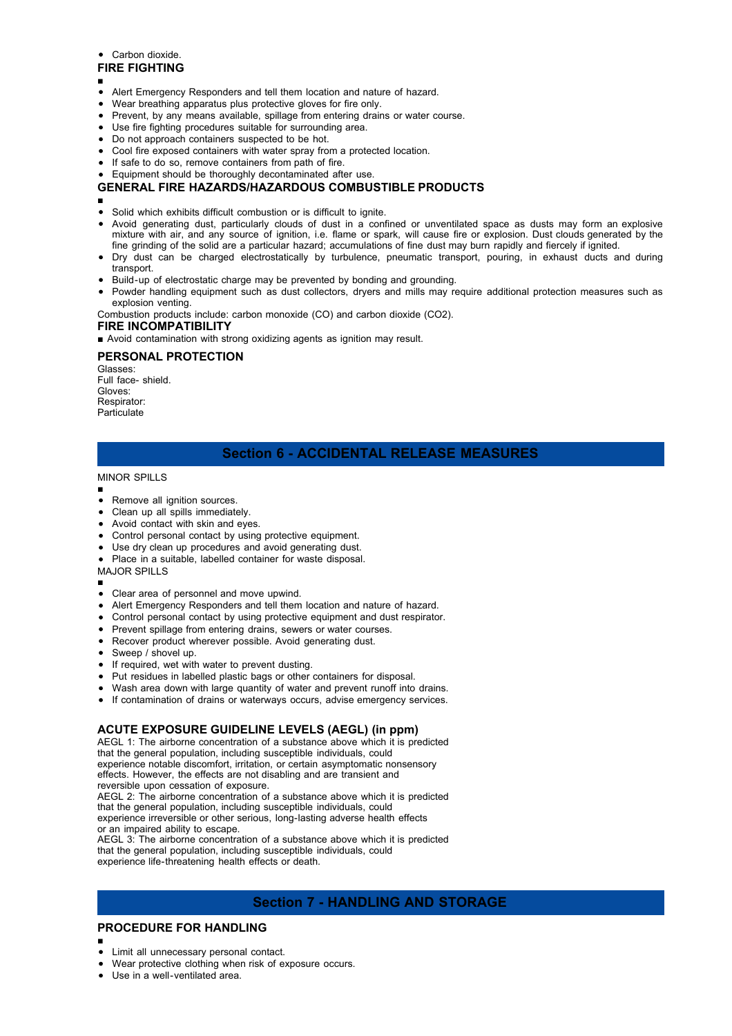#### • Carbon dioxide.

#### **FIRE FIGHTING**

- ■
- Alert Emergency Responders and tell them location and nature of hazard.
- Wear breathing apparatus plus protective gloves for fire only.
- Prevent, by any means available, spillage from entering drains or water course.
- Use fire fighting procedures suitable for surrounding area.
- Do not approach containers suspected to be hot.
- Cool fire exposed containers with water spray from a protected location.
- If safe to do so, remove containers from path of fire.
- Equipment should be thoroughly decontaminated after use.

### **GENERAL FIRE HAZARDS/HAZARDOUS COMBUSTIBLE PRODUCTS**

- ■
- Solid which exhibits difficult combustion or is difficult to ignite.
- Avoid generating dust, particularly clouds of dust in a confined or unventilated space as dusts may form an explosive mixture with air, and any source of ignition, i.e. flame or spark, will cause fire or explosion. Dust clouds generated by the fine grinding of the solid are a particular hazard; accumulations of fine dust may burn rapidly and fiercely if ignited.
- Dry dust can be charged electrostatically by turbulence, pneumatic transport, pouring, in exhaust ducts and during transport.
- Build-up of electrostatic charge may be prevented by bonding and grounding.
- Powder handling equipment such as dust collectors, dryers and mills may require additional protection measures such as explosion venting.

Combustion products include: carbon monoxide (CO) and carbon dioxide (CO2).

### **FIRE INCOMPATIBILITY**

■ Avoid contamination with strong oxidizing agents as ignition may result.

### **PERSONAL PROTECTION**

Glasses: Full face- shield. Gloves: Respirator: Particulate

## **Section 6 - ACCIDENTAL RELEASE MEASURES**

#### MINOR SPILLS

- ■
- Remove all ignition sources.
- Clean up all spills immediately.
- Avoid contact with skin and eyes.
- Control personal contact by using protective equipment.
- Use dry clean up procedures and avoid generating dust.
- Place in a suitable, labelled container for waste disposal.

MAJOR SPILLS

- ■
- Clear area of personnel and move upwind.
- Alert Emergency Responders and tell them location and nature of hazard.
- Control personal contact by using protective equipment and dust respirator.
- Prevent spillage from entering drains, sewers or water courses.
- Recover product wherever possible. Avoid generating dust.
- Sweep / shovel up.
- If required, wet with water to prevent dusting.
- Put residues in labelled plastic bags or other containers for disposal.
- Wash area down with large quantity of water and prevent runoff into drains.
- If contamination of drains or waterways occurs, advise emergency services.

#### **ACUTE EXPOSURE GUIDELINE LEVELS (AEGL) (in ppm)**

AEGL 1: The airborne concentration of a substance above which it is predicted that the general population, including susceptible individuals, could experience notable discomfort, irritation, or certain asymptomatic nonsensory effects. However, the effects are not disabling and are transient and reversible upon cessation of exposure. AEGL 2: The airborne concentration of a substance above which it is predicted that the general population, including susceptible individuals, could experience irreversible or other serious, long-lasting adverse health effects or an impaired ability to escape. AEGL 3: The airborne concentration of a substance above which it is predicted

that the general population, including susceptible individuals, could experience life-threatening health effects or death.

### **Section 7 - HANDLING AND STORAGE**

### **PROCEDURE FOR HANDLING**

- ■
- Limit all unnecessary personal contact.
- Wear protective clothing when risk of exposure occurs.
- Use in a well-ventilated area.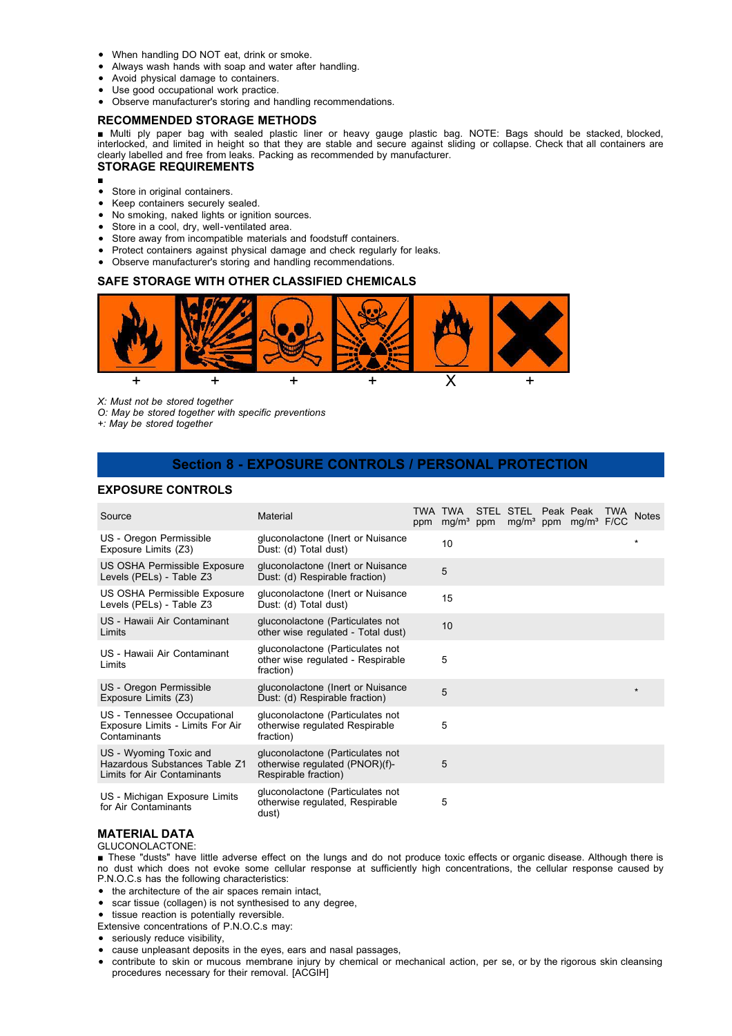- When handling DO NOT eat, drink or smoke.
- Always wash hands with soap and water after handling.
- Avoid physical damage to containers.
- Use good occupational work practice.
- Observe manufacturer's storing and handling recommendations.

#### **RECOMMENDED STORAGE METHODS**

■ Multi ply paper bag with sealed plastic liner or heavy gauge plastic bag. NOTE: Bags should be stacked, blocked, interlocked, and limited in height so that they are stable and secure against sliding or collapse. Check that all containers are clearly labelled and free from leaks. Packing as recommended by manufacturer.

#### **STORAGE REQUIREMENTS**

- ■
- Store in original containers.
- $\bullet$ Keep containers securely sealed.
- $\bullet$ No smoking, naked lights or ignition sources.
- Store in a cool, dry, well-ventilated area.  $\bullet$
- Store away from incompatible materials and foodstuff containers.
- Protect containers against physical damage and check regularly for leaks.
- Observe manufacturer's storing and handling recommendations.

#### **SAFE STORAGE WITH OTHER CLASSIFIED CHEMICALS**



*X: Must not be stored together*

*O: May be stored together with specific preventions*

*+: May be stored together*

### **Section 8 - EXPOSURE CONTROLS / PERSONAL PROTECTION**

#### **EXPOSURE CONTROLS**

| Source                                                                                 | Material                                                                                   | TWA TWA STEL STEL Peak Peak<br>ppm mg/m <sup>3</sup> ppm |  | mg/m <sup>3</sup> ppm mg/m <sup>3</sup> F/CC | TWA Notes |
|----------------------------------------------------------------------------------------|--------------------------------------------------------------------------------------------|----------------------------------------------------------|--|----------------------------------------------|-----------|
| US - Oregon Permissible<br>Exposure Limits (Z3)                                        | gluconolactone (Inert or Nuisance<br>Dust: (d) Total dust)                                 | 10                                                       |  |                                              | *         |
| US OSHA Permissible Exposure<br>Levels (PELs) - Table Z3                               | gluconolactone (Inert or Nuisance<br>Dust: (d) Respirable fraction)                        | 5                                                        |  |                                              |           |
| US OSHA Permissible Exposure<br>Levels (PELs) - Table Z3                               | gluconolactone (Inert or Nuisance<br>Dust: (d) Total dust)                                 | 15                                                       |  |                                              |           |
| US - Hawaii Air Contaminant<br>Limits                                                  | gluconolactone (Particulates not<br>other wise regulated - Total dust)                     | 10                                                       |  |                                              |           |
| US - Hawaii Air Contaminant<br>Limits                                                  | gluconolactone (Particulates not<br>other wise regulated - Respirable<br>fraction)         | 5                                                        |  |                                              |           |
| US - Oregon Permissible<br>Exposure Limits (Z3)                                        | gluconolactone (Inert or Nuisance<br>Dust: (d) Respirable fraction)                        | 5                                                        |  |                                              | $\star$   |
| US - Tennessee Occupational<br>Exposure Limits - Limits For Air<br>Contaminants        | gluconolactone (Particulates not<br>otherwise regulated Respirable<br>fraction)            | 5                                                        |  |                                              |           |
| US - Wyoming Toxic and<br>Hazardous Substances Table Z1<br>Limits for Air Contaminants | gluconolactone (Particulates not<br>otherwise regulated (PNOR)(f)-<br>Respirable fraction) | 5                                                        |  |                                              |           |
| US - Michigan Exposure Limits<br>for Air Contaminants                                  | gluconolactone (Particulates not<br>otherwise regulated, Respirable<br>dust)               | 5                                                        |  |                                              |           |

### **MATERIAL DATA**

GLUCONOLACTONE:

- These "dusts" have little adverse effect on the lungs and do not produce toxic effects or organic disease. Although there is no dust which does not evoke some cellular response at sufficiently high concentrations, the cellular response caused by P.N.O.C.s has the following characteristics:
- the architecture of the air spaces remain intact,
- scar tissue (collagen) is not synthesised to any degree,
- tissue reaction is potentially reversible.
- Extensive concentrations of P.N.O.C.s may:
- seriously reduce visibility,
- cause unpleasant deposits in the eyes, ears and nasal passages,
- contribute to skin or mucous membrane injury by chemical or mechanical action, per se, or by the rigorous skin cleansing procedures necessary for their removal. [ACGIH]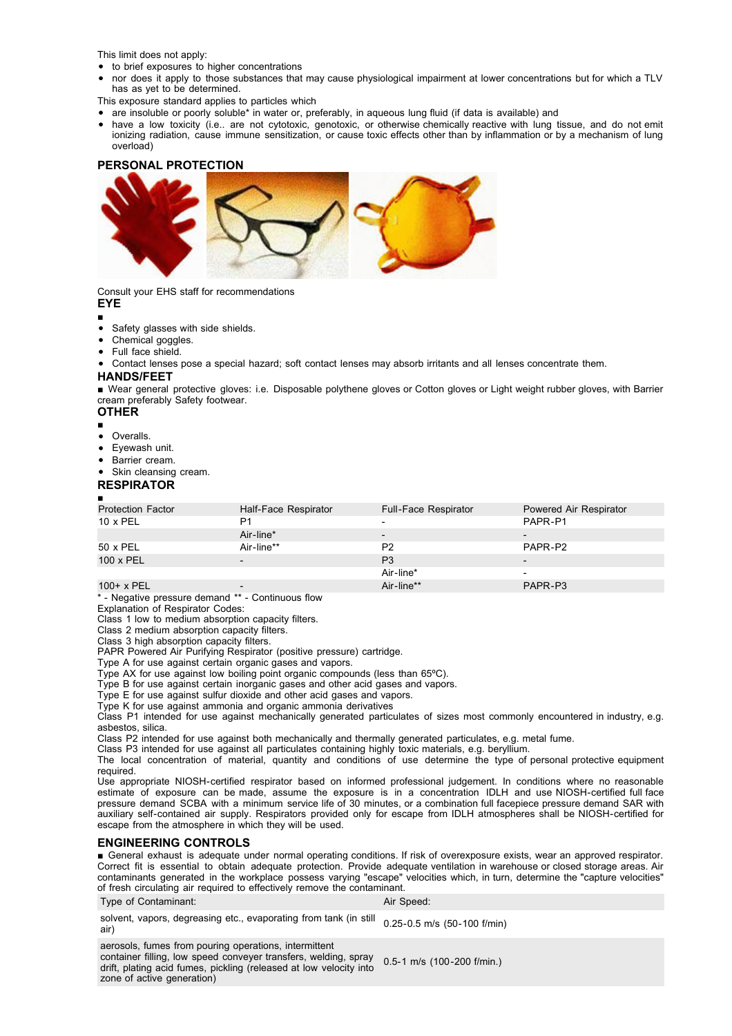This limit does not apply:

- to brief exposures to higher concentrations
- nor does it apply to those substances that may cause physiological impairment at lower concentrations but for which a TLV has as yet to be determined.
- This exposure standard applies to particles which
- are insoluble or poorly soluble\* in water or, preferably, in aqueous lung fluid (if data is available) and
- have a low toxicity (i.e.. are not cytotoxic, genotoxic, or otherwise chemically reactive with lung tissue, and do not emit ionizing radiation, cause immune sensitization, or cause toxic effects other than by inflammation or by a mechanism of lung overload)

#### **PERSONAL PROTECTION**



Consult your EHS staff for recommendations

### **EYE**

- Safety glasses with side shields.
- Chemical goggles.
- Full face shield.
- Contact lenses pose a special hazard; soft contact lenses may absorb irritants and all lenses concentrate them.

#### **HANDS/FEET**

■ Wear general protective gloves: i.e. Disposable polythene gloves or Cotton gloves or Light weight rubber gloves, with Barrier cream preferably Safety footwear.

#### **OTHER**

- ■
- Overalls.
- $\bullet$ Eyewash unit.
- Barrier cream.
- Skin cleansing cream.

#### **RESPIRATOR**

#### ■

| <b>Protection Factor</b> | Half-Face Respirator | <b>Full-Face Respirator</b> | Powered Air Respirator   |
|--------------------------|----------------------|-----------------------------|--------------------------|
| $10 \times PEL$          | P1                   | $\overline{\phantom{0}}$    | PAPR-P1                  |
|                          | Air-line*            |                             | $\overline{\phantom{0}}$ |
| 50 x PEL                 | Air-line**           | P <sub>2</sub>              | PAPR-P2                  |
| $100 \times PEL$         |                      | P <sub>3</sub>              | $\overline{\phantom{0}}$ |
|                          |                      | Air-line*                   | $\overline{\phantom{0}}$ |
| 100+ x PEL               |                      | Air-line**                  | PAPR-P3                  |

\* - Negative pressure demand \*\* - Continuous flow

Explanation of Respirator Codes:

Class 1 low to medium absorption capacity filters.

Class 2 medium absorption capacity filters.

Class 3 high absorption capacity filters.

PAPR Powered Air Purifying Respirator (positive pressure) cartridge.

Type A for use against certain organic gases and vapors.

Type AX for use against low boiling point organic compounds (less than 65ºC).

Type B for use against certain inorganic gases and other acid gases and vapors.

Type E for use against sulfur dioxide and other acid gases and vapors.

Type K for use against ammonia and organic ammonia derivatives

Class P1 intended for use against mechanically generated particulates of sizes most commonly encountered in industry, e.g. asbestos, silica.

Class P2 intended for use against both mechanically and thermally generated particulates, e.g. metal fume.

Class P3 intended for use against all particulates containing highly toxic materials, e.g. beryllium.

The local concentration of material, quantity and conditions of use determine the type of personal protective equipment required.

Use appropriate NIOSH-certified respirator based on informed professional judgement. In conditions where no reasonable estimate of exposure can be made, assume the exposure is in a concentration IDLH and use NIOSH-certified full face pressure demand SCBA with a minimum service life of 30 minutes, or a combination full facepiece pressure demand SAR with auxiliary self-contained air supply. Respirators provided only for escape from IDLH atmospheres shall be NIOSH-certified for escape from the atmosphere in which they will be used.

#### **ENGINEERING CONTROLS**

■ General exhaust is adequate under normal operating conditions. If risk of overexposure exists, wear an approved respirator. Correct fit is essential to obtain adequate protection. Provide adequate ventilation in warehouse or closed storage areas. Air contaminants generated in the workplace possess varying "escape" velocities which, in turn, determine the "capture velocities" of fresh circulating air required to effectively remove the contaminant.

### Type of Contaminant: Air Speed: Air Speed:

zone of active generation)

solvent, vapors, degreasing etc., evaporating from tank (in still  $\,$  0.25-0.5 m/s (50-100 f/min)<br>air) aerosols, fumes from pouring operations, intermittent container filling, low speed conveyer transfers, welding, spray drift, plating acid fumes, pickling (released at low velocity into 0.5-1 m/s (100-200 f/min.)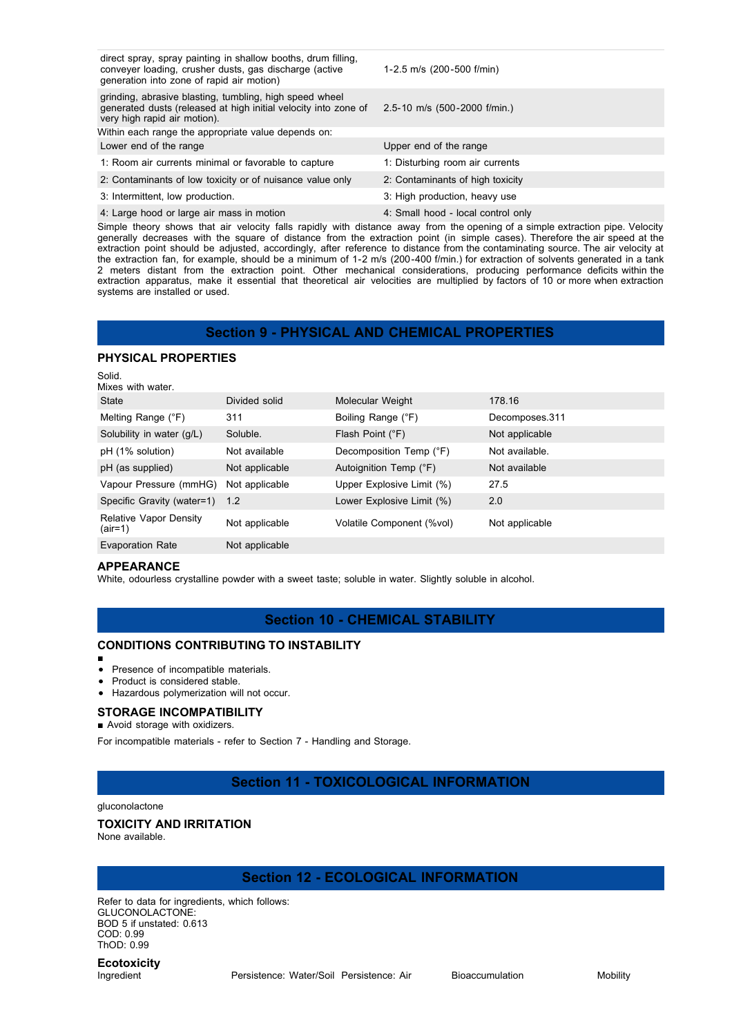| direct spray, spray painting in shallow booths, drum filling,<br>conveyer loading, crusher dusts, gas discharge (active<br>generation into zone of rapid air motion) | 1-2.5 m/s (200-500 f/min)          |
|----------------------------------------------------------------------------------------------------------------------------------------------------------------------|------------------------------------|
| grinding, abrasive blasting, tumbling, high speed wheel<br>generated dusts (released at high initial velocity into zone of<br>very high rapid air motion).           | 2.5-10 m/s (500-2000 f/min.)       |
| Within each range the appropriate value depends on:                                                                                                                  |                                    |
| Lower end of the range                                                                                                                                               | Upper end of the range             |
| 1: Room air currents minimal or favorable to capture                                                                                                                 | 1: Disturbing room air currents    |
| 2: Contaminants of low toxicity or of nuisance value only                                                                                                            | 2: Contaminants of high toxicity   |
| 3: Intermittent, low production.                                                                                                                                     | 3: High production, heavy use      |
| 4: Large hood or large air mass in motion                                                                                                                            | 4: Small hood - local control only |

Simple theory shows that air velocity falls rapidly with distance away from the opening of a simple extraction pipe. Velocity generally decreases with the square of distance from the extraction point (in simple cases). Therefore the air speed at the extraction point should be adjusted, accordingly, after reference to distance from the contaminating source. The air velocity at the extraction fan, for example, should be a minimum of 1-2 m/s (200-400 f/min.) for extraction of solvents generated in a tank 2 meters distant from the extraction point. Other mechanical considerations, producing performance deficits within the extraction apparatus, make it essential that theoretical air velocities are multiplied by factors of 10 or more when extraction systems are installed or used.

### **Section 9 - PHYSICAL AND CHEMICAL PROPERTIES**

#### **PHYSICAL PROPERTIES**

| Solid.<br>Mixes with water.              |                |                           |                |
|------------------------------------------|----------------|---------------------------|----------------|
| State                                    | Divided solid  | Molecular Weight          | 178.16         |
| Melting Range (°F)                       | 311            | Boiling Range (°F)        | Decomposes.311 |
| Solubility in water (g/L)                | Soluble.       | Flash Point (°F)          | Not applicable |
| pH (1% solution)                         | Not available  | Decomposition Temp (°F)   | Not available. |
| pH (as supplied)                         | Not applicable | Autoignition Temp (°F)    | Not available  |
| Vapour Pressure (mmHG)                   | Not applicable | Upper Explosive Limit (%) | 27.5           |
| Specific Gravity (water=1)               | 1.2            | Lower Explosive Limit (%) | 2.0            |
| <b>Relative Vapor Density</b><br>(air=1) | Not applicable | Volatile Component (%vol) | Not applicable |
| <b>Evaporation Rate</b>                  | Not applicable |                           |                |

#### **APPEARANCE**

White, odourless crystalline powder with a sweet taste; soluble in water. Slightly soluble in alcohol.

### **Section 10 - CHEMICAL STABILITY**

#### **CONDITIONS CONTRIBUTING TO INSTABILITY**

■  $\bullet$ 

### Presence of incompatible materials.

- Product is considered stable.
- Hazardous polymerization will not occur.

### **STORAGE INCOMPATIBILITY**

#### ■ Avoid storage with oxidizers.

For incompatible materials - refer to Section 7 - Handling and Storage.

### **Section 11 - TOXICOLOGICAL INFORMATION**

#### gluconolactone

#### **TOXICITY AND IRRITATION**

None available.

### **Section 12 - ECOLOGICAL INFORMATION**

Refer to data for ingredients, which follows: GLUCONOLACTONE: BOD 5 if unstated: 0.613 COD: 0.99 ThOD: 0.99

# **Ecotoxicity**